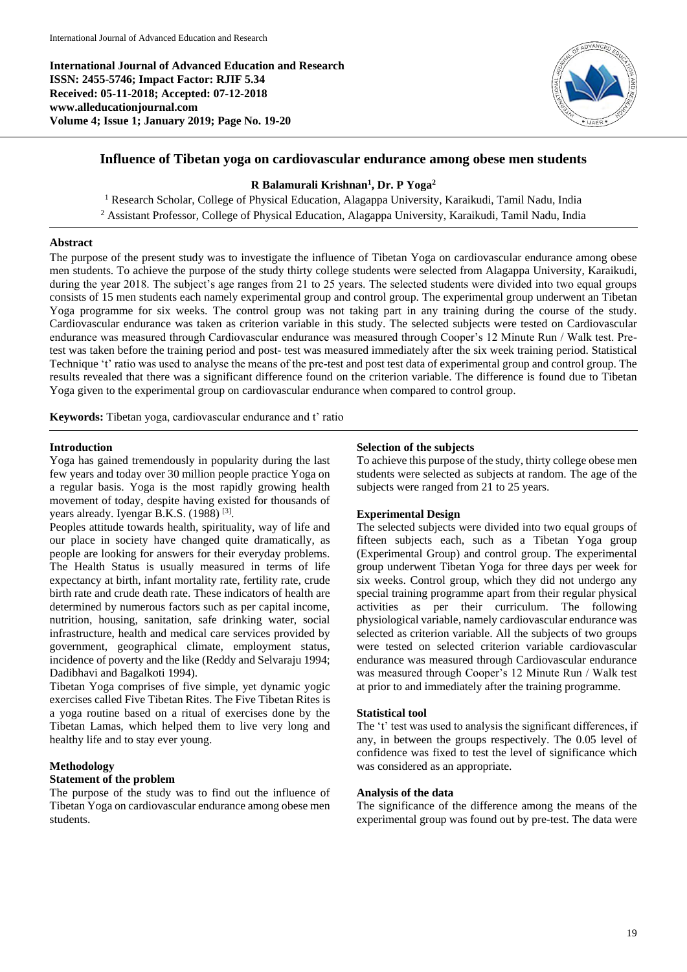**International Journal of Advanced Education and Research ISSN: 2455-5746; Impact Factor: RJIF 5.34 Received: 05-11-2018; Accepted: 07-12-2018 www.alleducationjournal.com Volume 4; Issue 1; January 2019; Page No. 19-20**



# **Influence of Tibetan yoga on cardiovascular endurance among obese men students**

## **R Balamurali Krishnan<sup>1</sup> , Dr. P Yoga<sup>2</sup>**

<sup>1</sup> Research Scholar, College of Physical Education, Alagappa University, Karaikudi, Tamil Nadu, India <sup>2</sup> Assistant Professor, College of Physical Education, Alagappa University, Karaikudi, Tamil Nadu, India

### **Abstract**

The purpose of the present study was to investigate the influence of Tibetan Yoga on cardiovascular endurance among obese men students. To achieve the purpose of the study thirty college students were selected from Alagappa University, Karaikudi, during the year 2018. The subject's age ranges from 21 to 25 years. The selected students were divided into two equal groups consists of 15 men students each namely experimental group and control group. The experimental group underwent an Tibetan Yoga programme for six weeks. The control group was not taking part in any training during the course of the study. Cardiovascular endurance was taken as criterion variable in this study. The selected subjects were tested on Cardiovascular endurance was measured through Cardiovascular endurance was measured through Cooper's 12 Minute Run / Walk test. Pretest was taken before the training period and post- test was measured immediately after the six week training period. Statistical Technique 't' ratio was used to analyse the means of the pre-test and post test data of experimental group and control group. The results revealed that there was a significant difference found on the criterion variable. The difference is found due to Tibetan Yoga given to the experimental group on cardiovascular endurance when compared to control group.

**Keywords:** Tibetan yoga, cardiovascular endurance and t' ratio

### **Introduction**

Yoga has gained tremendously in popularity during the last few years and today over 30 million people practice Yoga on a regular basis. Yoga is the most rapidly growing health movement of today, despite having existed for thousands of years already. Iyengar B.K.S. (1988)<sup>[3]</sup>.

Peoples attitude towards health, spirituality, way of life and our place in society have changed quite dramatically, as people are looking for answers for their everyday problems. The Health Status is usually measured in terms of life expectancy at birth, infant mortality rate, fertility rate, crude birth rate and crude death rate. These indicators of health are determined by numerous factors such as per capital income, nutrition, housing, sanitation, safe drinking water, social infrastructure, health and medical care services provided by government, geographical climate, employment status, incidence of poverty and the like (Reddy and Selvaraju 1994; Dadibhavi and Bagalkoti 1994).

Tibetan Yoga comprises of five simple, yet dynamic yogic exercises called Five Tibetan Rites. The Five Tibetan Rites is a yoga routine based on a ritual of exercises done by the Tibetan Lamas, which helped them to live very long and healthy life and to stay ever young.

## **Methodology**

## **Statement of the problem**

The purpose of the study was to find out the influence of Tibetan Yoga on cardiovascular endurance among obese men students.

### **Selection of the subjects**

To achieve this purpose of the study, thirty college obese men students were selected as subjects at random. The age of the subjects were ranged from 21 to 25 years.

### **Experimental Design**

The selected subjects were divided into two equal groups of fifteen subjects each, such as a Tibetan Yoga group (Experimental Group) and control group. The experimental group underwent Tibetan Yoga for three days per week for six weeks. Control group, which they did not undergo any special training programme apart from their regular physical activities as per their curriculum. The following physiological variable, namely cardiovascular endurance was selected as criterion variable. All the subjects of two groups were tested on selected criterion variable cardiovascular endurance was measured through Cardiovascular endurance was measured through Cooper's 12 Minute Run / Walk test at prior to and immediately after the training programme.

#### **Statistical tool**

The 't' test was used to analysis the significant differences, if any, in between the groups respectively. The 0.05 level of confidence was fixed to test the level of significance which was considered as an appropriate.

#### **Analysis of the data**

The significance of the difference among the means of the experimental group was found out by pre-test. The data were